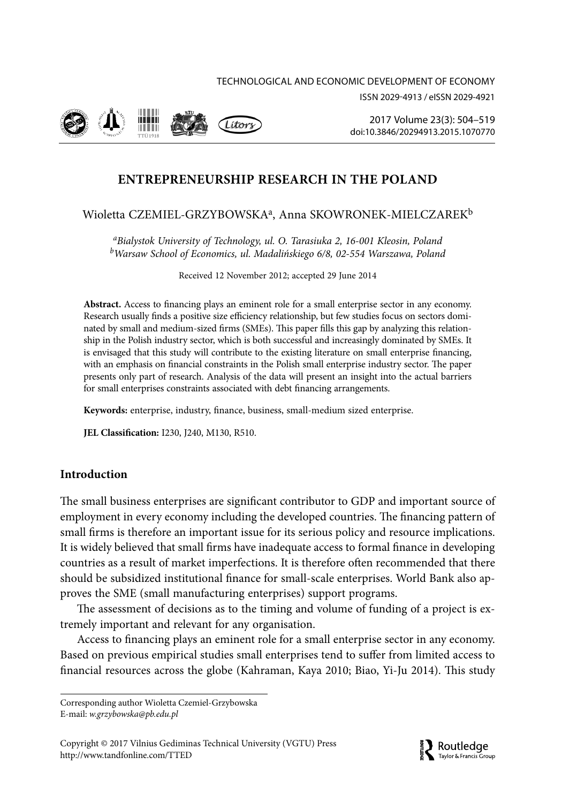

2017 Volume 23(3): 504–519 doi:10.3846/20294913.2015.1070770

# **ENTREPRENEURSHIP RESEARCH IN THE POLAND**

# Wioletta CZEMIEL-GRZYBOWSKAª, Anna SKOWRONEK-MIELCZAREK<sup>b</sup>

*aBialystok University of Technology, ul. O. Tarasiuka 2, 16-001 Kleosin, Poland bWarsaw School of Economics, ul. Madalińskiego 6/8, 02-554 Warszawa, Poland*

Received 12 November 2012; accepted 29 June 2014

**Abstract.** Access to financing plays an eminent role for a small enterprise sector in any economy. Research usually finds a positive size efficiency relationship, but few studies focus on sectors dominated by small and medium-sized firms (SMEs). This paper fills this gap by analyzing this relationship in the Polish industry sector, which is both successful and increasingly dominated by SMEs. It is envisaged that this study will contribute to the existing literature on small enterprise financing, with an emphasis on financial constraints in the Polish small enterprise industry sector. The paper presents only part of research. Analysis of the data will present an insight into the actual barriers for small enterprises constraints associated with debt financing arrangements.

**Keywords:** enterprise, industry, finance, business, small-medium sized enterprise.

**JEL Classification:** I230, J240, M130, R510.

# **Introduction**

The small business enterprises are significant contributor to GDP and important source of employment in every economy including the developed countries. The financing pattern of small firms is therefore an important issue for its serious policy and resource implications. It is widely believed that small firms have inadequate access to formal finance in developing countries as a result of market imperfections. It is therefore often recommended that there should be subsidized institutional finance for small-scale enterprises. World Bank also approves the SME (small manufacturing enterprises) support programs.

The assessment of decisions as to the timing and volume of funding of a project is extremely important and relevant for any organisation.

Access to financing plays an eminent role for a small enterprise sector in any economy. Based on previous empirical studies small enterprises tend to suffer from limited access to financial resources across the globe (Kahraman, Kaya 2010; Biao, Yi-Ju 2014). This study



Corresponding author Wioletta Czemiel-Grzybowska E-mail: *w.grzybowska@pb.edu.pl*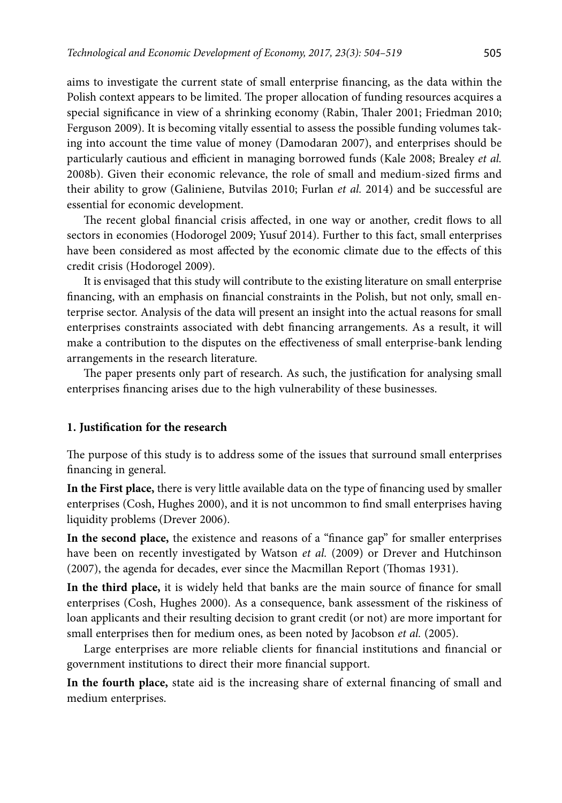aims to investigate the current state of small enterprise financing, as the data within the Polish context appears to be limited. The proper allocation of funding resources acquires a special significance in view of a shrinking economy (Rabin, Thaler 2001; Friedman 2010; Ferguson 2009). It is becoming vitally essential to assess the possible funding volumes taking into account the time value of money (Damodaran 2007), and enterprises should be particularly cautious and efficient in managing borrowed funds (Kale 2008; Brealey *et al.*  2008b). Given their economic relevance, the role of small and medium-sized firms and their ability to grow (Galiniene, Butvilas 2010; Furlan *et al.* 2014) and be successful are essential for economic development.

The recent global financial crisis affected, in one way or another, credit flows to all sectors in economies (Hodorogel 2009; Yusuf 2014). Further to this fact, small enterprises have been considered as most affected by the economic climate due to the effects of this credit crisis (Hodorogel 2009).

It is envisaged that this study will contribute to the existing literature on small enterprise financing, with an emphasis on financial constraints in the Polish, but not only, small enterprise sector. Analysis of the data will present an insight into the actual reasons for small enterprises constraints associated with debt financing arrangements. As a result, it will make a contribution to the disputes on the effectiveness of small enterprise-bank lending arrangements in the research literature.

The paper presents only part of research. As such, the justification for analysing small enterprises financing arises due to the high vulnerability of these businesses.

#### **1. Justification for the research**

The purpose of this study is to address some of the issues that surround small enterprises financing in general.

**In the First place,** there is very little available data on the type of financing used by smaller enterprises (Cosh, Hughes 2000), and it is not uncommon to find small enterprises having liquidity problems (Drever 2006).

**In the second place,** the existence and reasons of a "finance gap" for smaller enterprises have been on recently investigated by Watson *et al.* (2009) or Drever and Hutchinson (2007), the agenda for decades, ever since the Macmillan Report (Thomas 1931).

**In the third place,** it is widely held that banks are the main source of finance for small enterprises (Cosh, Hughes 2000). As a consequence, bank assessment of the riskiness of loan applicants and their resulting decision to grant credit (or not) are more important for small enterprises then for medium ones, as been noted by Jacobson *et al.* (2005).

Large enterprises are more reliable clients for financial institutions and financial or government institutions to direct their more financial support.

**In the fourth place,** state aid is the increasing share of external financing of small and medium enterprises.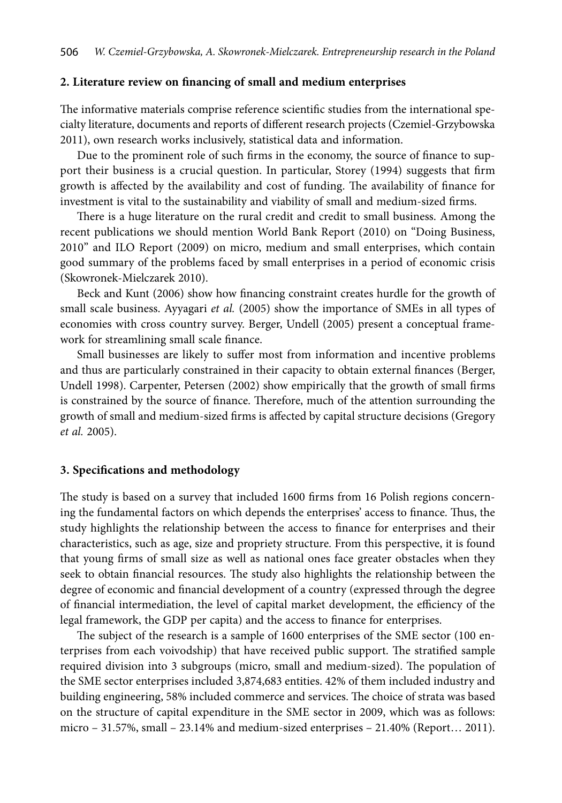# **2. Literature review on financing of small and medium enterprises**

The informative materials comprise reference scientific studies from the international specialty literature, documents and reports of different research projects (Czemiel-Grzybowska 2011), own research works inclusively, statistical data and information.

Due to the prominent role of such firms in the economy, the source of finance to support their business is a crucial question. In particular, Storey (1994) suggests that firm growth is affected by the availability and cost of funding. The availability of finance for investment is vital to the sustainability and viability of small and medium-sized firms.

There is a huge literature on the rural credit and credit to small business. Among the recent publications we should mention World Bank Report (2010) on "Doing Business, 2010" and ILO Report (2009) on micro, medium and small enterprises, which contain good summary of the problems faced by small enterprises in a period of economic crisis (Skowronek-Mielczarek 2010).

Beck and Kunt (2006) show how financing constraint creates hurdle for the growth of small scale business. Ayyagari *et al.* (2005) show the importance of SMEs in all types of economies with cross country survey. Berger, Undell (2005) present a conceptual framework for streamlining small scale finance.

Small businesses are likely to suffer most from information and incentive problems and thus are particularly constrained in their capacity to obtain external finances (Berger, Undell 1998). Carpenter, Petersen (2002) show empirically that the growth of small firms is constrained by the source of finance. Therefore, much of the attention surrounding the growth of small and medium-sized firms is affected by capital structure decisions (Gregory *et al.* 2005).

#### **3. Specifications and methodology**

The study is based on a survey that included 1600 firms from 16 Polish regions concerning the fundamental factors on which depends the enterprises' access to finance. Thus, the study highlights the relationship between the access to finance for enterprises and their characteristics, such as age, size and propriety structure. From this perspective, it is found that young firms of small size as well as national ones face greater obstacles when they seek to obtain financial resources. The study also highlights the relationship between the degree of economic and financial development of a country (expressed through the degree of financial intermediation, the level of capital market development, the efficiency of the legal framework, the GDP per capita) and the access to finance for enterprises.

The subject of the research is a sample of 1600 enterprises of the SME sector (100 enterprises from each voivodship) that have received public support. The stratified sample required division into 3 subgroups (micro, small and medium-sized). The population of the SME sector enterprises included 3,874,683 entities. 42% of them included industry and building engineering, 58% included commerce and services. The choice of strata was based on the structure of capital expenditure in the SME sector in 2009, which was as follows: micro – 31.57%, small – 23.14% and medium-sized enterprises – 21.40% (Report… 2011).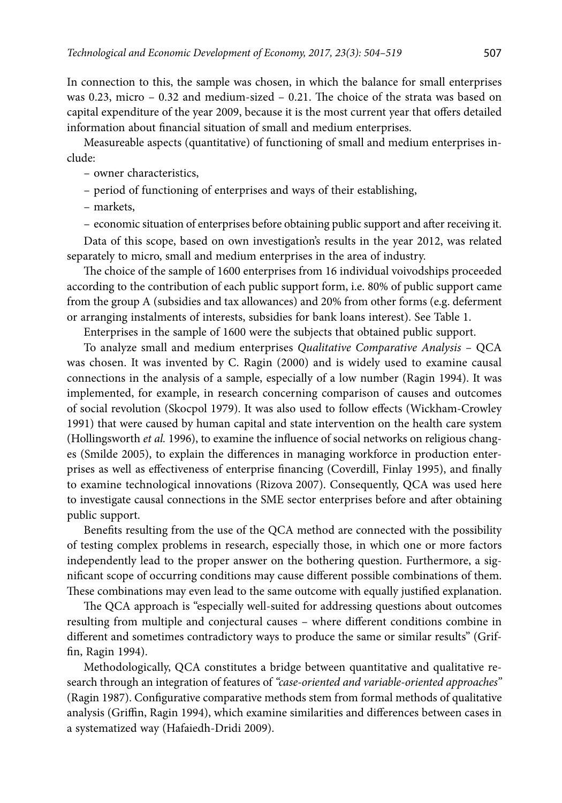In connection to this, the sample was chosen, in which the balance for small enterprises was 0.23, micro – 0.32 and medium-sized – 0.21. The choice of the strata was based on capital expenditure of the year 2009, because it is the most current year that offers detailed information about financial situation of small and medium enterprises.

Measureable aspects (quantitative) of functioning of small and medium enterprises include:

- owner characteristics,
- period of functioning of enterprises and ways of their establishing,

– markets,

– economic situation of enterprises before obtaining public support and after receiving it.

Data of this scope, based on own investigation's results in the year 2012, was related separately to micro, small and medium enterprises in the area of industry.

The choice of the sample of 1600 enterprises from 16 individual voivodships proceeded according to the contribution of each public support form, i.e. 80% of public support came from the group A (subsidies and tax allowances) and 20% from other forms (e.g. deferment or arranging instalments of interests, subsidies for bank loans interest). See Table 1.

Enterprises in the sample of 1600 were the subjects that obtained public support.

To analyze small and medium enterprises *Qualitative Comparative Analysis –* QCA was chosen. It was invented by C. Ragin (2000) and is widely used to examine causal connections in the analysis of a sample, especially of a low number (Ragin 1994). It was implemented, for example, in research concerning comparison of causes and outcomes of social revolution (Skocpol 1979). It was also used to follow effects (Wickham-Crowley 1991) that were caused by human capital and state intervention on the health care system (Hollingsworth *et al.* 1996), to examine the influence of social networks on religious changes (Smilde 2005), to explain the differences in managing workforce in production enterprises as well as effectiveness of enterprise financing (Coverdill, Finlay 1995), and finally to examine technological innovations (Rizova 2007). Consequently, QCA was used here to investigate causal connections in the SME sector enterprises before and after obtaining public support.

Benefits resulting from the use of the QCA method are connected with the possibility of testing complex problems in research, especially those, in which one or more factors independently lead to the proper answer on the bothering question. Furthermore, a significant scope of occurring conditions may cause different possible combinations of them. These combinations may even lead to the same outcome with equally justified explanation.

The QCA approach is "especially well-suited for addressing questions about outcomes resulting from multiple and conjectural causes – where different conditions combine in different and sometimes contradictory ways to produce the same or similar results" (Griffin, Ragin 1994).

Methodologically, QCA constitutes a bridge between quantitative and qualitative research through an integration of features of *"case-oriented and variable-oriented approaches"*  (Ragin 1987). Configurative comparative methods stem from formal methods of qualitative analysis (Griffin, Ragin 1994), which examine similarities and differences between cases in a systematized way (Hafaiedh-Dridi 2009).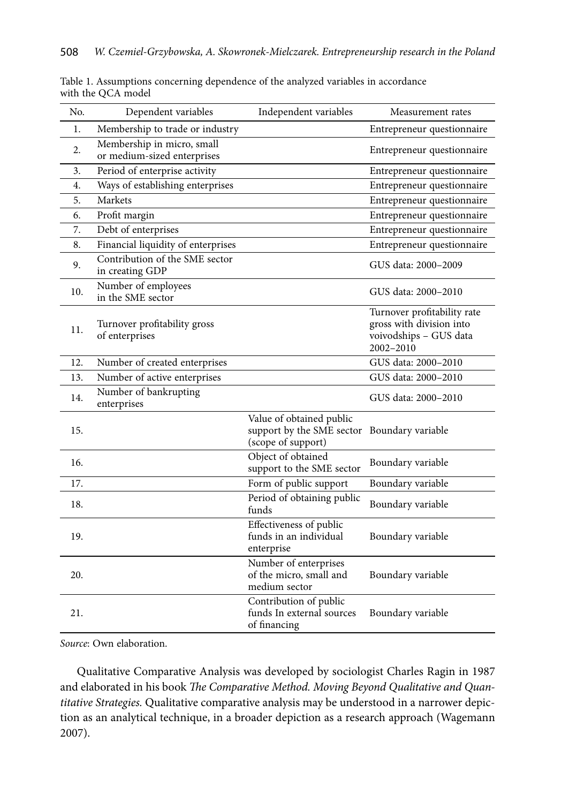| No. | Dependent variables                                       | Independent variables                                                                         | Measurement rates                                                                              |
|-----|-----------------------------------------------------------|-----------------------------------------------------------------------------------------------|------------------------------------------------------------------------------------------------|
| 1.  | Membership to trade or industry                           |                                                                                               | Entrepreneur questionnaire                                                                     |
| 2.  | Membership in micro, small<br>or medium-sized enterprises |                                                                                               | Entrepreneur questionnaire                                                                     |
| 3.  | Period of enterprise activity                             |                                                                                               | Entrepreneur questionnaire                                                                     |
| 4.  | Ways of establishing enterprises                          |                                                                                               | Entrepreneur questionnaire                                                                     |
| 5.  | Markets                                                   |                                                                                               | Entrepreneur questionnaire                                                                     |
| 6.  | Profit margin                                             |                                                                                               | Entrepreneur questionnaire                                                                     |
| 7.  | Debt of enterprises                                       |                                                                                               | Entrepreneur questionnaire                                                                     |
| 8.  | Financial liquidity of enterprises                        |                                                                                               | Entrepreneur questionnaire                                                                     |
| 9.  | Contribution of the SME sector<br>in creating GDP         |                                                                                               | GUS data: 2000–2009                                                                            |
| 10. | Number of employees<br>in the SME sector                  |                                                                                               | GUS data: 2000–2010                                                                            |
| 11. | Turnover profitability gross<br>of enterprises            |                                                                                               | Turnover profitability rate<br>gross with division into<br>voivodships - GUS data<br>2002-2010 |
| 12. | Number of created enterprises                             |                                                                                               | GUS data: 2000-2010                                                                            |
| 13. | Number of active enterprises                              |                                                                                               | GUS data: 2000-2010                                                                            |
| 14. | Number of bankrupting<br>enterprises                      |                                                                                               | GUS data: 2000-2010                                                                            |
| 15. |                                                           | Value of obtained public<br>support by the SME sector Boundary variable<br>(scope of support) |                                                                                                |
| 16. |                                                           | Object of obtained<br>support to the SME sector                                               | Boundary variable                                                                              |
| 17. |                                                           | Form of public support                                                                        | Boundary variable                                                                              |
| 18. |                                                           | Period of obtaining public<br>funds                                                           | Boundary variable                                                                              |
| 19. |                                                           | Effectiveness of public<br>funds in an individual<br>enterprise                               | Boundary variable                                                                              |
| 20. |                                                           | Number of enterprises<br>of the micro, small and<br>medium sector                             | Boundary variable                                                                              |
| 21. |                                                           | Contribution of public<br>funds In external sources<br>of financing                           | Boundary variable                                                                              |

Table 1. Assumptions concerning dependence of the analyzed variables in accordance with the QCA model

*Source*: Own elaboration.

Qualitative Comparative Analysis was developed by sociologist Charles Ragin in 1987 and elaborated in his book *The Comparative Method. Moving Beyond Qualitative and Quantitative Strategies.* Qualitative comparative analysis may be understood in a narrower depiction as an analytical technique, in a broader depiction as a research approach (Wagemann 2007).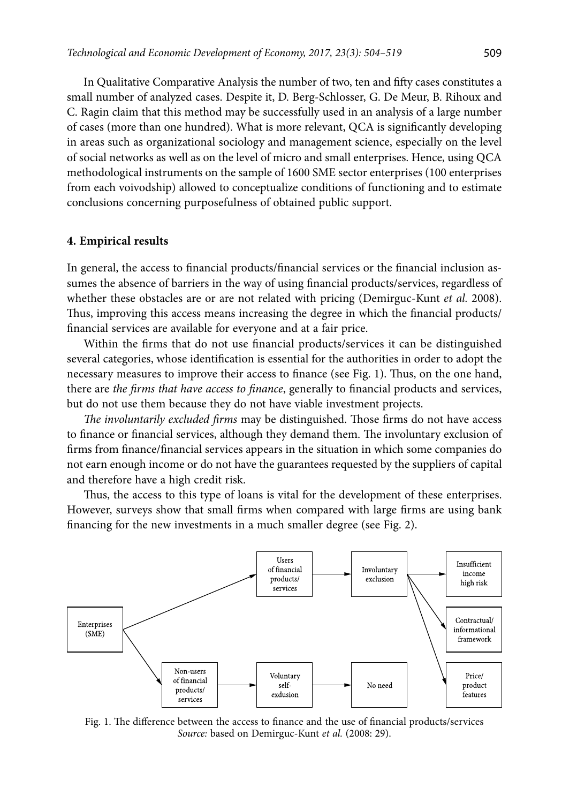In Qualitative Comparative Analysis the number of two, ten and fifty cases constitutes a small number of analyzed cases. Despite it, D. Berg-Schlosser, G. De Meur, B. Rihoux and C. Ragin claim that this method may be successfully used in an analysis of a large number of cases (more than one hundred). What is more relevant, QCA is significantly developing in areas such as organizational sociology and management science, especially on the level of social networks as well as on the level of micro and small enterprises. Hence, using QCA methodological instruments on the sample of 1600 SME sector enterprises (100 enterprises from each voivodship) allowed to conceptualize conditions of functioning and to estimate conclusions concerning purposefulness of obtained public support.

#### **4. Empirical results**

In general, the access to financial products/financial services or the financial inclusion assumes the absence of barriers in the way of using financial products/services, regardless of whether these obstacles are or are not related with pricing (Demirguc-Kunt *et al.* 2008). Thus, improving this access means increasing the degree in which the financial products/ financial services are available for everyone and at a fair price.

Within the firms that do not use financial products/services it can be distinguished several categories, whose identification is essential for the authorities in order to adopt the necessary measures to improve their access to finance (see Fig. 1). Thus, on the one hand, there are *the firms that have access to finance*, generally to financial products and services, but do not use them because they do not have viable investment projects.

*The involuntarily excluded firms* may be distinguished. Those firms do not have access to finance or financial services, although they demand them. The involuntary exclusion of firms from finance/financial services appears in the situation in which some companies do not earn enough income or do not have the guarantees requested by the suppliers of capital and therefore have a high credit risk.

Thus, the access to this type of loans is vital for the development of these enterprises. However, surveys show that small firms when compared with large firms are using bank financing for the new investments in a much smaller degree (see Fig. 2).



Fig. 1. The difference between the access to finance and the use of financial products/services *Source:* based on Demirguc-Kunt *et al.* (2008: 29).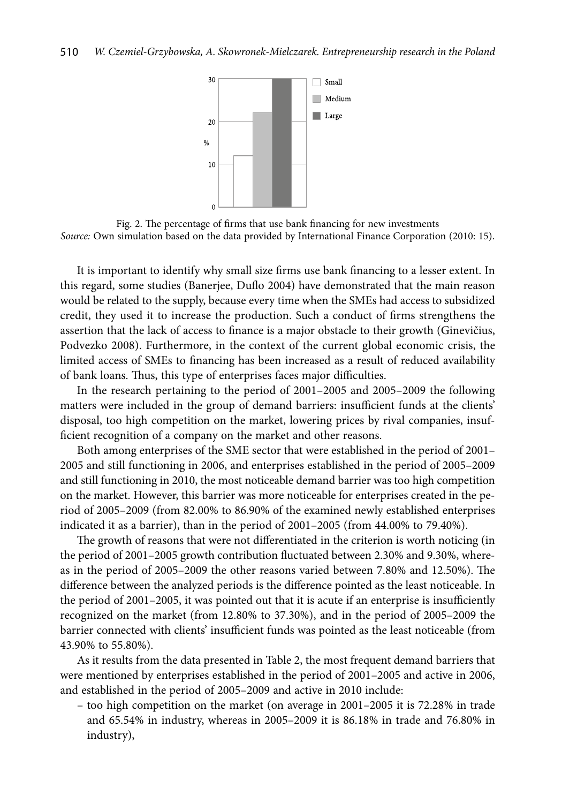

Fig. 2. The percentage of firms that use bank financing for new investments *Source:* Own simulation based on the data provided by International Finance Corporation (2010: 15).

It is important to identify why small size firms use bank financing to a lesser extent. In this regard, some studies (Banerjee, Duflo 2004) have demonstrated that the main reason would be related to the supply, because every time when the SMEs had access to subsidized credit, they used it to increase the production. Such a conduct of firms strengthens the assertion that the lack of access to finance is a major obstacle to their growth (Ginevičius, Podvezko 2008). Furthermore, in the context of the current global economic crisis, the limited access of SMEs to financing has been increased as a result of reduced availability of bank loans. Thus, this type of enterprises faces major difficulties.

In the research pertaining to the period of 2001–2005 and 2005–2009 the following matters were included in the group of demand barriers: insufficient funds at the clients' disposal, too high competition on the market, lowering prices by rival companies, insufficient recognition of a company on the market and other reasons.

Both among enterprises of the SME sector that were established in the period of 2001– 2005 and still functioning in 2006, and enterprises established in the period of 2005–2009 and still functioning in 2010, the most noticeable demand barrier was too high competition on the market. However, this barrier was more noticeable for enterprises created in the period of 2005–2009 (from 82.00% to 86.90% of the examined newly established enterprises indicated it as a barrier), than in the period of 2001–2005 (from 44.00% to 79.40%).

The growth of reasons that were not differentiated in the criterion is worth noticing (in the period of 2001–2005 growth contribution fluctuated between 2.30% and 9.30%, whereas in the period of 2005–2009 the other reasons varied between 7.80% and 12.50%). The difference between the analyzed periods is the difference pointed as the least noticeable. In the period of 2001–2005, it was pointed out that it is acute if an enterprise is insufficiently recognized on the market (from 12.80% to 37.30%), and in the period of 2005–2009 the barrier connected with clients' insufficient funds was pointed as the least noticeable (from 43.90% to 55.80%).

As it results from the data presented in Table 2, the most frequent demand barriers that were mentioned by enterprises established in the period of 2001–2005 and active in 2006, and established in the period of 2005–2009 and active in 2010 include:

– too high competition on the market (on average in 2001–2005 it is 72.28% in trade and 65.54% in industry, whereas in 2005–2009 it is 86.18% in trade and 76.80% in industry),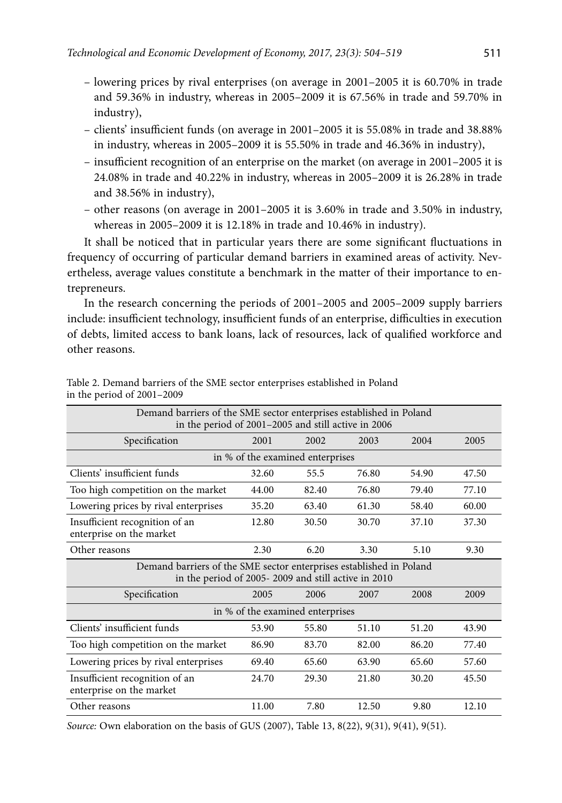- lowering prices by rival enterprises (on average in 2001–2005 it is 60.70% in trade and 59.36% in industry, whereas in 2005–2009 it is 67.56% in trade and 59.70% in industry),
- clients' insufficient funds (on average in 2001–2005 it is 55.08% in trade and 38.88% in industry, whereas in 2005–2009 it is 55.50% in trade and 46.36% in industry),
- insufficient recognition of an enterprise on the market (on average in 2001–2005 it is 24.08% in trade and 40.22% in industry, whereas in 2005–2009 it is 26.28% in trade and 38.56% in industry),
- other reasons (on average in 2001–2005 it is 3.60% in trade and 3.50% in industry, whereas in 2005–2009 it is 12.18% in trade and 10.46% in industry).

It shall be noticed that in particular years there are some significant fluctuations in frequency of occurring of particular demand barriers in examined areas of activity. Nevertheless, average values constitute a benchmark in the matter of their importance to entrepreneurs.

In the research concerning the periods of 2001–2005 and 2005–2009 supply barriers include: insufficient technology, insufficient funds of an enterprise, difficulties in execution of debts, limited access to bank loans, lack of resources, lack of qualified workforce and other reasons.

| Demand barriers of the SME sector enterprises established in Poland<br>in the period of 2001-2005 and still active in 2006 |       |       |       |       |       |  |  |
|----------------------------------------------------------------------------------------------------------------------------|-------|-------|-------|-------|-------|--|--|
| Specification                                                                                                              | 2001  | 2002  | 2003  | 2004  | 2005  |  |  |
| in % of the examined enterprises                                                                                           |       |       |       |       |       |  |  |
| Clients' insufficient funds                                                                                                | 32.60 | 55.5  | 76.80 | 54.90 | 47.50 |  |  |
| Too high competition on the market                                                                                         | 44.00 | 82.40 | 76.80 | 79.40 | 77.10 |  |  |
| Lowering prices by rival enterprises                                                                                       | 35.20 | 63.40 | 61.30 | 58.40 | 60.00 |  |  |
| Insufficient recognition of an<br>enterprise on the market                                                                 | 12.80 | 30.50 | 30.70 | 37.10 | 37.30 |  |  |
| Other reasons                                                                                                              | 2.30  | 6.20  | 3.30  | 5.10  | 9.30  |  |  |
| Demand barriers of the SME sector enterprises established in Poland<br>in the period of 2005-2009 and still active in 2010 |       |       |       |       |       |  |  |
| Specification                                                                                                              | 2005  | 2006  | 2007  | 2008  | 2009  |  |  |
| in % of the examined enterprises                                                                                           |       |       |       |       |       |  |  |
| Clients' insufficient funds                                                                                                | 53.90 | 55.80 | 51.10 | 51.20 | 43.90 |  |  |
| Too high competition on the market                                                                                         | 86.90 | 83.70 | 82.00 | 86.20 | 77.40 |  |  |
| Lowering prices by rival enterprises                                                                                       | 69.40 | 65.60 | 63.90 | 65.60 | 57.60 |  |  |
| Insufficient recognition of an<br>enterprise on the market                                                                 | 24.70 | 29.30 | 21.80 | 30.20 | 45.50 |  |  |
| Other reasons                                                                                                              | 11.00 | 7.80  | 12.50 | 9.80  | 12.10 |  |  |

Table 2. Demand barriers of the SME sector enterprises established in Poland in the period of 2001–2009

*Source:* Own elaboration on the basis of GUS (2007), Table 13, 8(22), 9(31), 9(41), 9(51).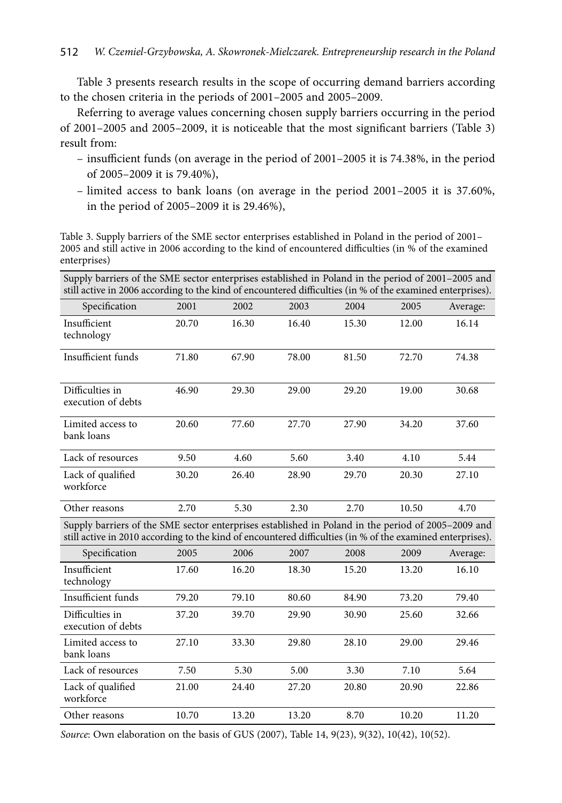Table 3 presents research results in the scope of occurring demand barriers according to the chosen criteria in the periods of 2001–2005 and 2005–2009.

Referring to average values concerning chosen supply barriers occurring in the period of 2001–2005 and 2005–2009, it is noticeable that the most significant barriers (Table 3) result from:

- insufficient funds (on average in the period of 2001–2005 it is 74.38%, in the period of 2005–2009 it is 79.40%),
- limited access to bank loans (on average in the period 2001–2005 it is 37.60%, in the period of 2005–2009 it is 29.46%),

Table 3. Supply barriers of the SME sector enterprises established in Poland in the period of 2001– 2005 and still active in 2006 according to the kind of encountered difficulties (in % of the examined enterprises)

| Supply barriers of the SME sector enterprises established in Poland in the period of 2001-2005 and<br>still active in 2006 according to the kind of encountered difficulties (in % of the examined enterprises). |       |       |       |       |       |          |  |
|------------------------------------------------------------------------------------------------------------------------------------------------------------------------------------------------------------------|-------|-------|-------|-------|-------|----------|--|
| Specification                                                                                                                                                                                                    | 2001  | 2002  | 2003  | 2004  | 2005  | Average: |  |
| Insufficient<br>technology                                                                                                                                                                                       | 20.70 | 16.30 | 16.40 | 15.30 | 12.00 | 16.14    |  |
| Insufficient funds                                                                                                                                                                                               | 71.80 | 67.90 | 78.00 | 81.50 | 72.70 | 74.38    |  |
| Difficulties in<br>execution of debts                                                                                                                                                                            | 46.90 | 29.30 | 29.00 | 29.20 | 19.00 | 30.68    |  |
| Limited access to<br>bank loans                                                                                                                                                                                  | 20.60 | 77.60 | 27.70 | 27.90 | 34.20 | 37.60    |  |
| Lack of resources                                                                                                                                                                                                | 9.50  | 4.60  | 5.60  | 3.40  | 4.10  | 5.44     |  |
| Lack of qualified<br>workforce                                                                                                                                                                                   | 30.20 | 26.40 | 28.90 | 29.70 | 20.30 | 27.10    |  |
| Other reasons                                                                                                                                                                                                    | 2.70  | 5.30  | 2.30  | 2.70  | 10.50 | 4.70     |  |
| Supply barriers of the SME sector enterprises established in Poland in the period of 2005-2009 and<br>still active in 2010 according to the kind of encountered difficulties (in % of the examined enterprises). |       |       |       |       |       |          |  |
| Specification                                                                                                                                                                                                    | 2005  | 2006  | 2007  | 2008  | 2009  | Average: |  |
| Insufficient<br>technology                                                                                                                                                                                       | 17.60 | 16.20 | 18.30 | 15.20 | 13.20 | 16.10    |  |
| Insufficient funds                                                                                                                                                                                               | 79.20 | 79.10 | 80.60 | 84.90 | 73.20 | 79.40    |  |
| Difficulties in<br>execution of debts                                                                                                                                                                            | 37.20 | 39.70 | 29.90 | 30.90 | 25.60 | 32.66    |  |
| Limited access to<br>bank loans                                                                                                                                                                                  | 27.10 | 33.30 | 29.80 | 28.10 | 29.00 | 29.46    |  |
| Lack of resources                                                                                                                                                                                                | 7.50  | 5.30  | 5.00  | 3.30  | 7.10  | 5.64     |  |
| Lack of qualified<br>workforce                                                                                                                                                                                   | 21.00 | 24.40 | 27.20 | 20.80 | 20.90 | 22.86    |  |
| Other reasons                                                                                                                                                                                                    | 10.70 | 13.20 | 13.20 | 8.70  | 10.20 | 11.20    |  |

*Source*: Own elaboration on the basis of GUS (2007), Table 14, 9(23), 9(32), 10(42), 10(52).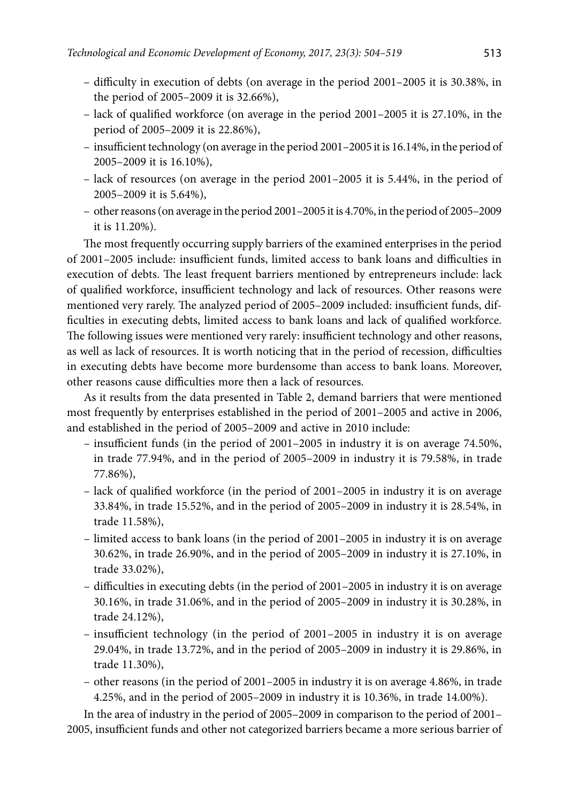- difficulty in execution of debts (on average in the period 2001–2005 it is 30.38%, in the period of 2005–2009 it is 32.66%),
- lack of qualified workforce (on average in the period 2001–2005 it is 27.10%, in the period of 2005–2009 it is 22.86%),
- insufficient technology (on average in the period 2001–2005 it is 16.14%, in the period of 2005–2009 it is 16.10%),
- lack of resources (on average in the period 2001–2005 it is 5.44%, in the period of 2005–2009 it is 5.64%),
- other reasons (on average in the period 2001–2005 it is 4.70%, in the period of 2005–2009 it is 11.20%).

The most frequently occurring supply barriers of the examined enterprises in the period of 2001–2005 include: insufficient funds, limited access to bank loans and difficulties in execution of debts. The least frequent barriers mentioned by entrepreneurs include: lack of qualified workforce, insufficient technology and lack of resources. Other reasons were mentioned very rarely. The analyzed period of 2005–2009 included: insufficient funds, difficulties in executing debts, limited access to bank loans and lack of qualified workforce. The following issues were mentioned very rarely: insufficient technology and other reasons, as well as lack of resources. It is worth noticing that in the period of recession, difficulties in executing debts have become more burdensome than access to bank loans. Moreover, other reasons cause difficulties more then a lack of resources.

As it results from the data presented in Table 2, demand barriers that were mentioned most frequently by enterprises established in the period of 2001–2005 and active in 2006, and established in the period of 2005–2009 and active in 2010 include:

- insufficient funds (in the period of 2001–2005 in industry it is on average 74.50%, in trade 77.94%, and in the period of 2005–2009 in industry it is 79.58%, in trade 77.86%),
- lack of qualified workforce (in the period of 2001–2005 in industry it is on average 33.84%, in trade 15.52%, and in the period of 2005–2009 in industry it is 28.54%, in trade 11.58%),
- limited access to bank loans (in the period of 2001–2005 in industry it is on average 30.62%, in trade 26.90%, and in the period of 2005–2009 in industry it is 27.10%, in trade 33.02%),
- difficulties in executing debts (in the period of 2001–2005 in industry it is on average 30.16%, in trade 31.06%, and in the period of 2005–2009 in industry it is 30.28%, in trade 24.12%),
- insufficient technology (in the period of 2001–2005 in industry it is on average 29.04%, in trade 13.72%, and in the period of 2005–2009 in industry it is 29.86%, in trade 11.30%),
- other reasons (in the period of 2001–2005 in industry it is on average 4.86%, in trade 4.25%, and in the period of 2005–2009 in industry it is 10.36%, in trade 14.00%).

In the area of industry in the period of 2005–2009 in comparison to the period of 2001– 2005, insufficient funds and other not categorized barriers became a more serious barrier of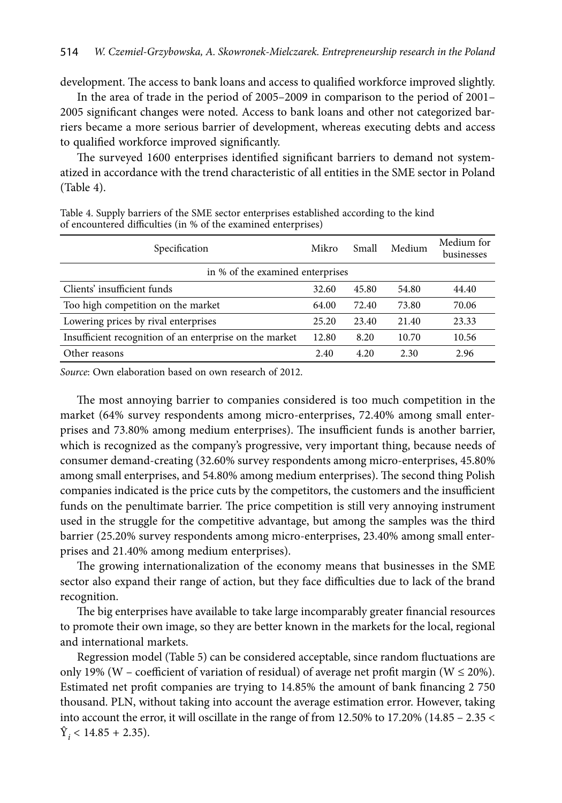development. The access to bank loans and access to qualified workforce improved slightly.

In the area of trade in the period of 2005–2009 in comparison to the period of 2001– 2005 significant changes were noted. Access to bank loans and other not categorized barriers became a more serious barrier of development, whereas executing debts and access to qualified workforce improved significantly.

The surveyed 1600 enterprises identified significant barriers to demand not systematized in accordance with the trend characteristic of all entities in the SME sector in Poland (Table 4).

| Specification                                           | Mikro | Small | Medium | Medium for<br>businesses |  |  |
|---------------------------------------------------------|-------|-------|--------|--------------------------|--|--|
| in % of the examined enterprises                        |       |       |        |                          |  |  |
| Clients' insufficient funds                             | 32.60 | 45.80 | 54.80  | 44.40                    |  |  |
| Too high competition on the market                      | 64.00 | 72.40 | 73.80  | 70.06                    |  |  |
| Lowering prices by rival enterprises                    | 25.20 | 23.40 | 21.40  | 23.33                    |  |  |
| Insufficient recognition of an enterprise on the market | 12.80 | 8.20  | 10.70  | 10.56                    |  |  |
| Other reasons                                           | 2.40  | 4.20  | 2.30   | 2.96                     |  |  |

Table 4. Supply barriers of the SME sector enterprises established according to the kind of encountered difficulties (in % of the examined enterprises)

*Source*: Own elaboration based on own research of 2012.

The most annoying barrier to companies considered is too much competition in the market (64% survey respondents among micro-enterprises, 72.40% among small enterprises and 73.80% among medium enterprises). The insufficient funds is another barrier, which is recognized as the company's progressive, very important thing, because needs of consumer demand-creating (32.60% survey respondents among micro-enterprises, 45.80% among small enterprises, and 54.80% among medium enterprises). The second thing Polish companies indicated is the price cuts by the competitors, the customers and the insufficient funds on the penultimate barrier. The price competition is still very annoying instrument used in the struggle for the competitive advantage, but among the samples was the third barrier (25.20% survey respondents among micro-enterprises, 23.40% among small enterprises and 21.40% among medium enterprises).

The growing internationalization of the economy means that businesses in the SME sector also expand their range of action, but they face difficulties due to lack of the brand recognition.

The big enterprises have available to take large incomparably greater financial resources to promote their own image, so they are better known in the markets for the local, regional and international markets.

Regression model (Table 5) can be considered acceptable, since random fluctuations are only 19% (W – coefficient of variation of residual) of average net profit margin ( $W \le 20$ %). Estimated net profit companies are trying to 14.85% the amount of bank financing 2 750 thousand. PLN, without taking into account the average estimation error. However, taking into account the error, it will oscillate in the range of from 12.50% to 17.20% (14.85 – 2.35 <  $\ddot{Y}_i < 14.85 + 2.35$ ).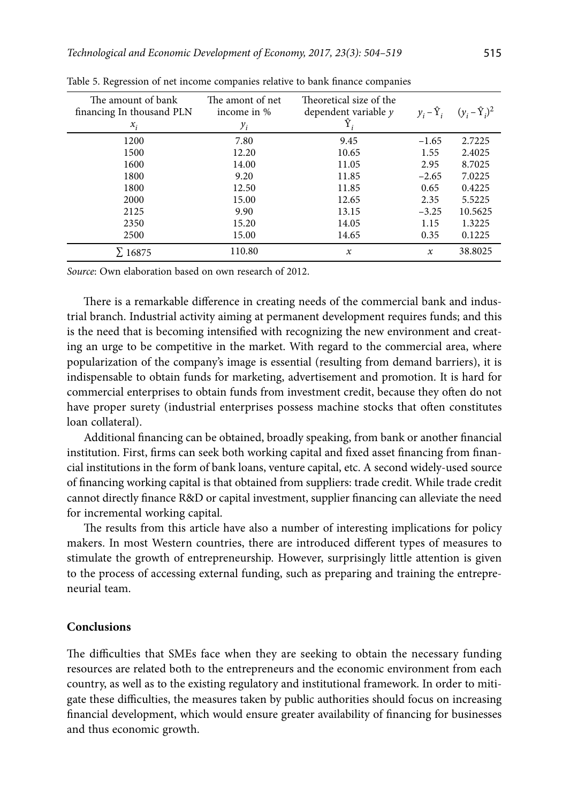| The amount of bank<br>financing In thousand PLN<br>$x_i$ | The amont of net<br>income in %<br>$y_i$ | Theoretical size of the<br>dependent variable $y$ |                     | $y_i - \hat{Y}_i$ $(y_i - \hat{Y}_i)^2$ |
|----------------------------------------------------------|------------------------------------------|---------------------------------------------------|---------------------|-----------------------------------------|
| 1200                                                     | 7.80                                     | 9.45                                              | $-1.65$             | 2.7225                                  |
| 1500                                                     | 12.20                                    | 10.65                                             | 1.55                | 2.4025                                  |
| 1600                                                     | 14.00                                    | 11.05                                             | 2.95                | 8.7025                                  |
| 1800                                                     | 9.20                                     | 11.85                                             | $-2.65$             | 7.0225                                  |
| 1800                                                     | 12.50                                    | 11.85                                             | 0.65                | 0.4225                                  |
| 2000                                                     | 15.00                                    | 12.65                                             | 2.35                | 5.5225                                  |
| 2125                                                     | 9.90                                     | 13.15                                             | $-3.25$             | 10.5625                                 |
| 2350                                                     | 15.20                                    | 14.05                                             | 1.15                | 1.3225                                  |
| 2500                                                     | 15.00                                    | 14.65                                             | 0.35                | 0.1225                                  |
| $\Sigma$ 16875                                           | 110.80                                   | $\boldsymbol{\chi}$                               | $\boldsymbol{\chi}$ | 38.8025                                 |

Table 5. Regression of net income companies relative to bank finance companies

*Source*: Own elaboration based on own research of 2012.

There is a remarkable difference in creating needs of the commercial bank and industrial branch. Industrial activity aiming at permanent development requires funds; and this is the need that is becoming intensified with recognizing the new environment and creating an urge to be competitive in the market. With regard to the commercial area, where popularization of the company's image is essential (resulting from demand barriers), it is indispensable to obtain funds for marketing, advertisement and promotion. It is hard for commercial enterprises to obtain funds from investment credit, because they often do not have proper surety (industrial enterprises possess machine stocks that often constitutes loan collateral).

Additional financing can be obtained, broadly speaking, from bank or another financial institution. First, firms can seek both working capital and fixed asset financing from financial institutions in the form of bank loans, venture capital, etc. A second widely-used source of financing working capital is that obtained from suppliers: trade credit. While trade credit cannot directly finance R&D or capital investment, supplier financing can alleviate the need for incremental working capital.

The results from this article have also a number of interesting implications for policy makers. In most Western countries, there are introduced different types of measures to stimulate the growth of entrepreneurship. However, surprisingly little attention is given to the process of accessing external funding, such as preparing and training the entrepreneurial team.

# **Conclusions**

The difficulties that SMEs face when they are seeking to obtain the necessary funding resources are related both to the entrepreneurs and the economic environment from each country, as well as to the existing regulatory and institutional framework. In order to mitigate these difficulties, the measures taken by public authorities should focus on increasing financial development, which would ensure greater availability of financing for businesses and thus economic growth.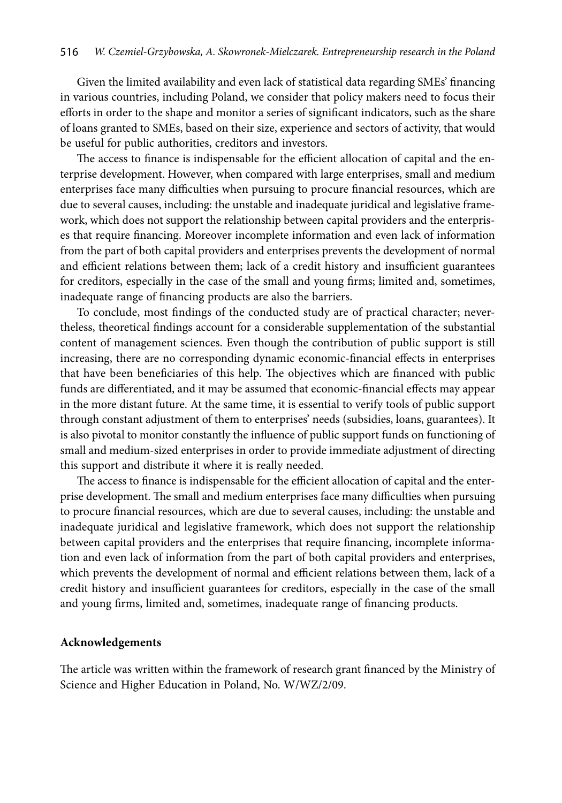Given the limited availability and even lack of statistical data regarding SMEs' financing in various countries, including Poland, we consider that policy makers need to focus their efforts in order to the shape and monitor a series of significant indicators, such as the share of loans granted to SMEs, based on their size, experience and sectors of activity, that would be useful for public authorities, creditors and investors.

The access to finance is indispensable for the efficient allocation of capital and the enterprise development. However, when compared with large enterprises, small and medium enterprises face many difficulties when pursuing to procure financial resources, which are due to several causes, including: the unstable and inadequate juridical and legislative framework, which does not support the relationship between capital providers and the enterprises that require financing. Moreover incomplete information and even lack of information from the part of both capital providers and enterprises prevents the development of normal and efficient relations between them; lack of a credit history and insufficient guarantees for creditors, especially in the case of the small and young firms; limited and, sometimes, inadequate range of financing products are also the barriers.

To conclude, most findings of the conducted study are of practical character; nevertheless, theoretical findings account for a considerable supplementation of the substantial content of management sciences. Even though the contribution of public support is still increasing, there are no corresponding dynamic economic-financial effects in enterprises that have been beneficiaries of this help. The objectives which are financed with public funds are differentiated, and it may be assumed that economic-financial effects may appear in the more distant future. At the same time, it is essential to verify tools of public support through constant adjustment of them to enterprises' needs (subsidies, loans, guarantees). It is also pivotal to monitor constantly the influence of public support funds on functioning of small and medium-sized enterprises in order to provide immediate adjustment of directing this support and distribute it where it is really needed.

The access to finance is indispensable for the efficient allocation of capital and the enterprise development. The small and medium enterprises face many difficulties when pursuing to procure financial resources, which are due to several causes, including: the unstable and inadequate juridical and legislative framework, which does not support the relationship between capital providers and the enterprises that require financing, incomplete information and even lack of information from the part of both capital providers and enterprises, which prevents the development of normal and efficient relations between them, lack of a credit history and insufficient guarantees for creditors, especially in the case of the small and young firms, limited and, sometimes, inadequate range of financing products.

# **Acknowledgements**

The article was written within the framework of research grant financed by the Ministry of Science and Higher Education in Poland, No. W/WZ/2/09.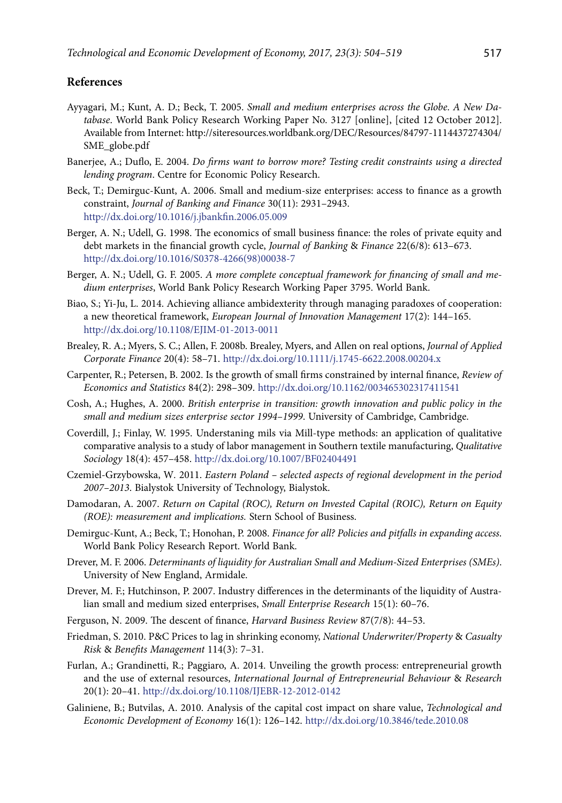#### **References**

- Ayyagari, M.; Kunt, A. D.; Beck, T. 2005. *Small and medium enterprises across the Globe*. *A New Database*. World Bank Policy Research Working Paper No. 3127 [online], [cited 12 October 2012]. Available from Internet: http://siteresources.worldbank.org/DEC/Resources/84797-1114437274304/ SME\_globe.pdf
- Banerjee, A.; Duflo, E. 2004. *Do firms want to borrow more? Testing credit constraints using a directed lending program*. Centre for Economic Policy Research.
- Beck, T.; Demirguc-Kunt, A. 2006. Small and medium-size enterprises: access to finance as a growth constraint, *Journal of Banking and Finance* 30(11): 2931–2943. http://dx.doi.org/10.1016/j.jbankfin.2006.05.009
- Berger, A. N.; Udell, G. 1998. The economics of small business finance: the roles of private equity and debt markets in the financial growth cycle, *Journal of Banking* & *Finance* 22(6/8): 613–673. http://dx.doi.org/10.1016/S0378-4266(98)00038-7
- Berger, A. N.; Udell, G. F. 2005. *A more complete conceptual framework for financing of small and medium enterprises*, World Bank Policy Research Working Paper 3795. World Bank.
- Biao, S.; Yi-Ju, L. 2014. Achieving alliance ambidexterity through managing paradoxes of cooperation: a new theoretical framework, *European Journal of Innovation Management* 17(2): 144–165. http://dx.doi.org/10.1108/EJIM-01-2013-0011
- Brealey, R. A.; Myers, S. C.; Allen, F. 2008b. Brealey, Myers, and Allen on real options, *Journal of Applied Corporate Finance* 20(4): 58–71. http://dx.doi.org/10.1111/j.1745-6622.2008.00204.x
- Carpenter, R.; Petersen, B. 2002. Is the growth of small firms constrained by internal finance, *Review of Economics and Statistics* 84(2): 298–309. http://dx.doi.org/10.1162/003465302317411541
- Cosh, A.; Hughes, A. 2000. *British enterprise in transition: growth innovation and public policy in the small and medium sizes enterprise sector 1994–1999*. University of Cambridge, Cambridge.
- Coverdill, J.; Finlay, W. 1995. Understaning mils via Mill-type methods: an application of qualitative comparative analysis to a study of labor management in Southern textile manufacturing, *Qualitative Sociology* 18(4): 457–458. http://dx.doi.org/10.1007/BF02404491
- Czemiel-Grzybowska, W*.* 2011. *Eastern Poland selected aspects of regional development in the period 2007–2013*. Bialystok University of Technology, Bialystok.
- Damodaran, A. 2007. *Return on Capital (ROC), Return on Invested Capital (ROIC), Return on Equity (ROE): measurement and implications.* Stern School of Business.
- Demirguc-Kunt, A.; Beck, T.; Honohan, P. 2008. *Finance for all? Policies and pitfalls in expanding access*. World Bank Policy Research Report. World Bank.
- Drever, M. F. 2006. *Determinants of liquidity for Australian Small and Medium-Sized Enterprises (SMEs)*. University of New England, Armidale.
- Drever, M. F.; Hutchinson, P. 2007. Industry differences in the determinants of the liquidity of Australian small and medium sized enterprises, *Small Enterprise Research* 15(1): 60–76.
- Ferguson, N. 2009. The descent of finance, *Harvard Business Review* 87(7/8): 44–53.
- Friedman, S. 2010. P&C Prices to lag in shrinking economy, *National Underwriter/Property* & *Casualty Risk* & *Benefits Management* 114(3): 7–31.
- Furlan, A.; Grandinetti, R.; Paggiaro, A. 2014. Unveiling the growth process: entrepreneurial growth and the use of external resources, *International Journal of Entrepreneurial Behaviour* & *Research* 20(1): 20–41. http://dx.doi.org/10.1108/IJEBR-12-2012-0142
- Galiniene, B.; Butvilas, A. 2010. Analysis of the capital cost impact on share value, *Technological and Economic Development of Economy* 16(1): 126–142. http://dx.doi.org/10.3846/tede.2010.08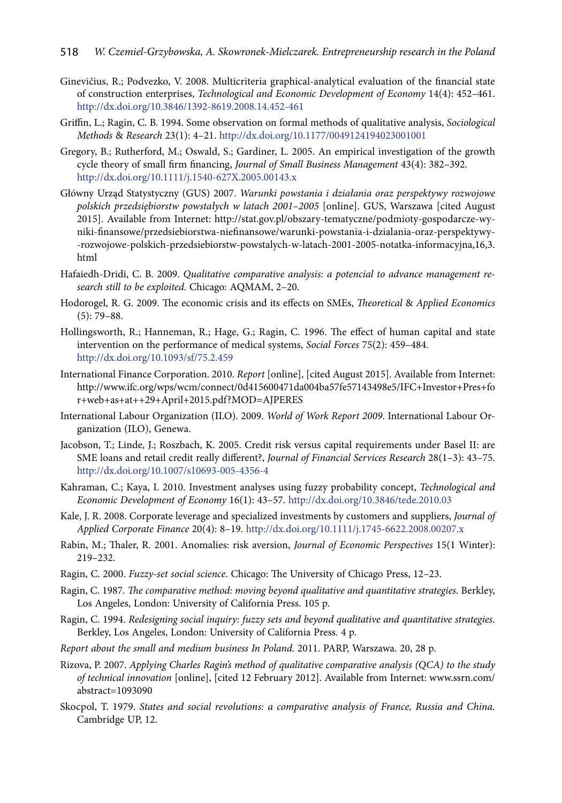- Ginevičius, R.; Podvezko, V. 2008. Multicriteria graphical-analytical evaluation of the financial state of construction enterprises, *Technological and Economic Development of Economy* 14(4): 452–461. http://dx.doi.org/10.3846/1392-8619.2008.14.452-461
- Griffin, L.; Ragin, C. B. 1994. Some observation on formal methods of qualitative analysis, *Sociological Methods* & *Research* 23(1): 4–21. http://dx.doi.org/10.1177/0049124194023001001
- Gregory, B.; Rutherford, M.; Oswald, S.; Gardiner, L. 2005. An empirical investigation of the growth cycle theory of small firm financing, *Journal of Small Business Management* 43(4): 382–392. http://dx.doi.org/10.1111/j.1540-627X.2005.00143.x
- Główny Urząd Statystyczny (GUS) 2007. *Warunki powstania i działania oraz perspektywy rozwojowe polskich przedsiębiorstw powstałych w latach 2001–2005* [online]. GUS, Warszawa [cited August 2015]. Available from Internet: http://stat.gov.pl/obszary-tematyczne/podmioty-gospodarcze-wyniki-finansowe/przedsiebiorstwa-niefinansowe/warunki-powstania-i-dzialania-oraz-perspektywy- -rozwojowe-polskich-przedsiebiorstw-powstalych-w-latach-2001-2005-notatka-informacyjna,16,3. html
- Hafaiedh-Dridi, C. B. 2009. *Qualitative comparative analysis: a potencial to advance management research still to be exploited.* Chicago: AQMAM, 2–20.
- Hodorogel, R. G. 2009. The economic crisis and its effects on SMEs, *Theoretical* & *Applied Economics*  (5): 79–88.
- Hollingsworth, R.; Hanneman, R.; Hage, G.; Ragin, C. 1996. The effect of human capital and state intervention on the performance of medical systems, *Social Forces* 75(2): 459–484. http://dx.doi.org/10.1093/sf/75.2.459
- International Finance Corporation. 2010. *Report* [online], [cited August 2015]. Available from Internet: http://www.ifc.org/wps/wcm/connect/0d415600471da004ba57fe57143498e5/IFC+Investor+Pres+fo r+web+as+at++29+April+2015.pdf?MOD=AJPERES
- International Labour Organization (ILO). 2009. *World of Work Report 2009*. International Labour Organization (ILO), Genewa.
- Jacobson, T.; Linde, J.; Roszbach, K. 2005. Credit risk versus capital requirements under Basel II: are SME loans and retail credit really different?, *Journal of Financial Services Research* 28(1–3): 43–75. http://dx.doi.org/10.1007/s10693-005-4356-4
- Kahraman, C.; Kaya, I. 2010. Investment analyses using fuzzy probability concept, *Technological and Economic Development of Economy* 16(1): 43–57. http://dx.doi.org/10.3846/tede.2010.03
- Kale, J. R. 2008. Corporate leverage and specialized investments by customers and suppliers, *Journal of Applied Corporate Finance* 20(4): 8–19. http://dx.doi.org/10.1111/j.1745-6622.2008.00207.x
- Rabin, M.; Thaler, R. 2001. Anomalies: risk aversion, *Journal of Economic Perspectives* 15(1 Winter): 219–232.
- Ragin, C. 2000. *Fuzzy-set social science*. Chicago: The University of Chicago Press, 12–23.
- Ragin, C. 1987. *The comparative method: moving beyond qualitative and quantitative strategies.* Berkley, Los Angeles, London: University of California Press. 105 p.
- Ragin, C. 1994. *Redesigning social inquiry: fuzzy sets and beyond qualitative and quantitative strategies*. Berkley, Los Angeles, London: University of California Press. 4 p.
- *Report about the small and medium business In Poland.* 2011. PARP, Warszawa. 20, 28 p.
- Rizova, P. 2007. *Applying Charles Ragin's method of qualitative comparative analysis (QCA) to the study of technical innovation* [online], [cited 12 February 2012]. Available from Internet: www.ssrn.com/ abstract=1093090
- Skocpol, T. 1979. *States and social revolutions: a comparative analysis of France, Russia and China.*  Cambridge UP, 12.